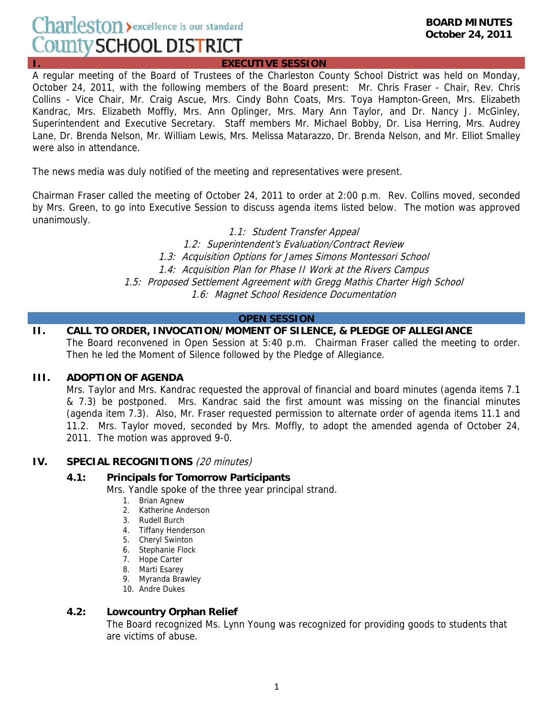# Charleston > excellence is our standard County SCHOOL DISTRICT

**I. EXECUTIVE SESSION**

A regular meeting of the Board of Trustees of the Charleston County School District was held on Monday, October 24, 2011, with the following members of the Board present: Mr. Chris Fraser - Chair, Rev. Chris Collins - Vice Chair, Mr. Craig Ascue, Mrs. Cindy Bohn Coats, Mrs. Toya Hampton-Green, Mrs. Elizabeth Kandrac, Mrs. Elizabeth Moffly, Mrs. Ann Oplinger, Mrs. Mary Ann Taylor, and Dr. Nancy J. McGinley, Superintendent and Executive Secretary. Staff members Mr. Michael Bobby, Dr. Lisa Herring, Mrs. Audrey Lane, Dr. Brenda Nelson, Mr. William Lewis, Mrs. Melissa Matarazzo, Dr. Brenda Nelson, and Mr. Elliot Smalley were also in attendance.

The news media was duly notified of the meeting and representatives were present.

Chairman Fraser called the meeting of October 24, 2011 to order at 2:00 p.m. Rev. Collins moved, seconded by Mrs. Green, to go into Executive Session to discuss agenda items listed below. The motion was approved unanimously.

1.1: Student Transfer Appeal

1.2: Superintendent's Evaluation/Contract Review 1.3: Acquisition Options for James Simons Montessori School 1.4: Acquisition Plan for Phase II Work at the Rivers Campus 1.5: Proposed Settlement Agreement with Gregg Mathis Charter High School 1.6: Magnet School Residence Documentation

## **OPEN SESSION**

#### **II. CALL TO ORDER, INVOCATION/MOMENT OF SILENCE, & PLEDGE OF ALLEGIANCE**  The Board reconvened in Open Session at 5:40 p.m. Chairman Fraser called the meeting to order. Then he led the Moment of Silence followed by the Pledge of Allegiance.

#### **III. ADOPTION OF AGENDA**

Mrs. Taylor and Mrs. Kandrac requested the approval of financial and board minutes (agenda items 7.1 & 7.3) be postponed. Mrs. Kandrac said the first amount was missing on the financial minutes (agenda item 7.3). Also, Mr. Fraser requested permission to alternate order of agenda items 11.1 and 11.2. Mrs. Taylor moved, seconded by Mrs. Moffly, to adopt the amended agenda of October 24, 2011. The motion was approved 9-0.

## **IV. SPECIAL RECOGNITIONS** (20 minutes)

#### **4.1: Principals for Tomorrow Participants**

Mrs. Yandle spoke of the three year principal strand.

- 1. Brian Agnew
- 2. Katherine Anderson
- 3. Rudell Burch
- 4. Tiffany Henderson
- 5. Cheryl Swinton
- 6. Stephanie Flock
- 7. Hope Carter
- 8. Marti Esarey
- 9. Myranda Brawley
- 10. Andre Dukes

#### **4.2: Lowcountry Orphan Relief**

The Board recognized Ms. Lynn Young was recognized for providing goods to students that are victims of abuse.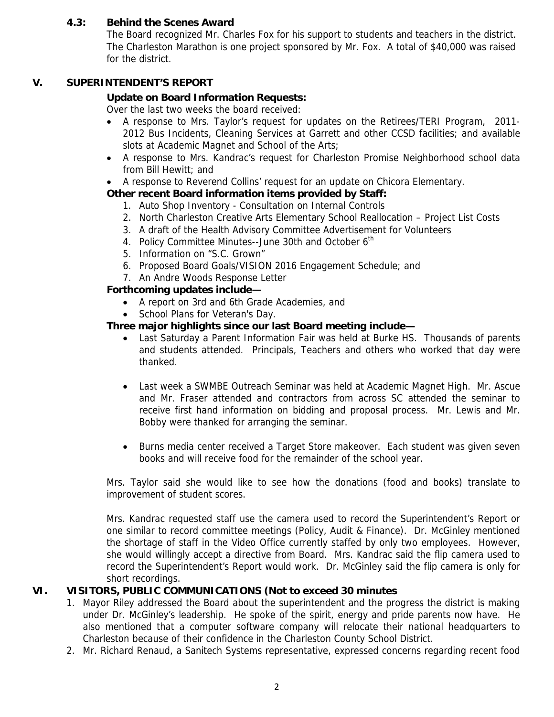# **4.3: Behind the Scenes Award**

The Board recognized Mr. Charles Fox for his support to students and teachers in the district. The Charleston Marathon is one project sponsored by Mr. Fox. A total of \$40,000 was raised for the district.

# **V. SUPERINTENDENT'S REPORT**

# **Update on Board Information Requests:**

Over the last two weeks the board received:

- A response to Mrs. Taylor's request for updates on the Retirees/TERI Program, 2011- 2012 Bus Incidents, Cleaning Services at Garrett and other CCSD facilities; and available slots at Academic Magnet and School of the Arts;
- A response to Mrs. Kandrac's request for Charleston Promise Neighborhood school data from Bill Hewitt; and
- A response to Reverend Collins' request for an update on Chicora Elementary.

# **Other recent Board information items provided by Staff:**

- 1. Auto Shop Inventory Consultation on Internal Controls
- 2. North Charleston Creative Arts Elementary School Reallocation Project List Costs
- 3. A draft of the Health Advisory Committee Advertisement for Volunteers
- 4. Policy Committee Minutes--June 30th and October 6<sup>th</sup>
- 5. Information on "S.C. Grown"
- 6. Proposed Board Goals/VISION 2016 Engagement Schedule; and
- 7. An Andre Woods Response Letter

# **Forthcoming updates include—**

- A report on 3rd and 6th Grade Academies, and
- School Plans for Veteran's Day.

## **Three major highlights since our last Board meeting include—**

- Last Saturday a Parent Information Fair was held at Burke HS. Thousands of parents and students attended. Principals, Teachers and others who worked that day were thanked.
- Last week a SWMBE Outreach Seminar was held at Academic Magnet High. Mr. Ascue and Mr. Fraser attended and contractors from across SC attended the seminar to receive first hand information on bidding and proposal process. Mr. Lewis and Mr. Bobby were thanked for arranging the seminar.
- Burns media center received a Target Store makeover. Each student was given seven books and will receive food for the remainder of the school year.

Mrs. Taylor said she would like to see how the donations (food and books) translate to improvement of student scores.

Mrs. Kandrac requested staff use the camera used to record the Superintendent's Report or one similar to record committee meetings (Policy, Audit & Finance). Dr. McGinley mentioned the shortage of staff in the Video Office currently staffed by only two employees. However, she would willingly accept a directive from Board. Mrs. Kandrac said the flip camera used to record the Superintendent's Report would work. Dr. McGinley said the flip camera is only for short recordings.

# **VI. VISITORS, PUBLIC COMMUNICATIONS (Not to exceed 30 minutes**

- 1. Mayor Riley addressed the Board about the superintendent and the progress the district is making under Dr. McGinley's leadership. He spoke of the spirit, energy and pride parents now have. He also mentioned that a computer software company will relocate their national headquarters to Charleston because of their confidence in the Charleston County School District.
- 2. Mr. Richard Renaud, a Sanitech Systems representative, expressed concerns regarding recent food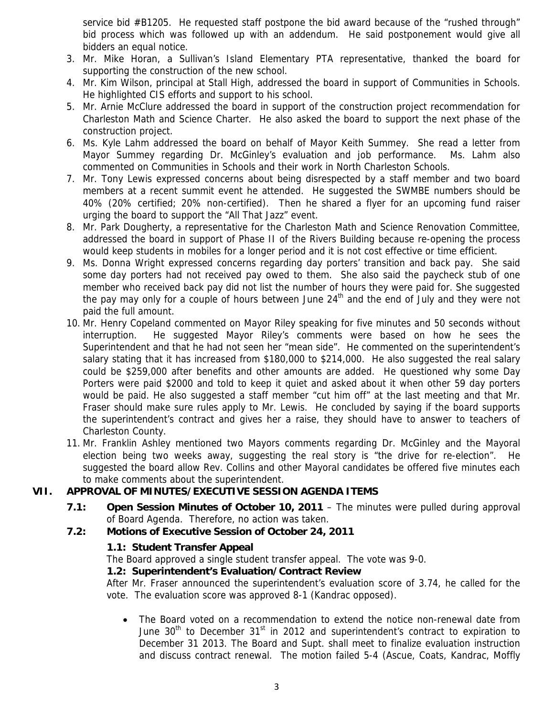service bid #B1205. He requested staff postpone the bid award because of the "rushed through" bid process which was followed up with an addendum. He said postponement would give all bidders an equal notice.

- 3. Mr. Mike Horan, a Sullivan's Island Elementary PTA representative, thanked the board for supporting the construction of the new school.
- 4. Mr. Kim Wilson, principal at Stall High, addressed the board in support of Communities in Schools. He highlighted CIS efforts and support to his school.
- 5. Mr. Arnie McClure addressed the board in support of the construction project recommendation for Charleston Math and Science Charter. He also asked the board to support the next phase of the construction project.
- 6. Ms. Kyle Lahm addressed the board on behalf of Mayor Keith Summey. She read a letter from Mayor Summey regarding Dr. McGinley's evaluation and job performance. Ms. Lahm also commented on Communities in Schools and their work in North Charleston Schools.
- 7. Mr. Tony Lewis expressed concerns about being disrespected by a staff member and two board members at a recent summit event he attended. He suggested the SWMBE numbers should be 40% (20% certified; 20% non-certified). Then he shared a flyer for an upcoming fund raiser urging the board to support the "All That Jazz" event.
- 8. Mr. Park Dougherty, a representative for the Charleston Math and Science Renovation Committee, addressed the board in support of Phase II of the Rivers Building because re-opening the process would keep students in mobiles for a longer period and it is not cost effective or time efficient.
- 9. Ms. Donna Wright expressed concerns regarding day porters' transition and back pay. She said some day porters had not received pay owed to them. She also said the paycheck stub of one member who received back pay did not list the number of hours they were paid for. She suggested the pay may only for a couple of hours between June  $24<sup>th</sup>$  and the end of July and they were not paid the full amount.
- 10. Mr. Henry Copeland commented on Mayor Riley speaking for five minutes and 50 seconds without interruption. He suggested Mayor Riley's comments were based on how he sees the Superintendent and that he had not seen her "mean side". He commented on the superintendent's salary stating that it has increased from \$180,000 to \$214,000. He also suggested the real salary could be \$259,000 after benefits and other amounts are added. He questioned why some Day Porters were paid \$2000 and told to keep it quiet and asked about it when other 59 day porters would be paid. He also suggested a staff member "cut him off" at the last meeting and that Mr. Fraser should make sure rules apply to Mr. Lewis. He concluded by saying if the board supports the superintendent's contract and gives her a raise, they should have to answer to teachers of Charleston County.
- 11. Mr. Franklin Ashley mentioned two Mayors comments regarding Dr. McGinley and the Mayoral election being two weeks away, suggesting the real story is "the drive for re-election". He suggested the board allow Rev. Collins and other Mayoral candidates be offered five minutes each to make comments about the superintendent.

# **VII. APPROVAL OF MINUTES/EXECUTIVE SESSION AGENDA ITEMS**

 **7.1: Open Session Minutes of October 10, 2011** – The minutes were pulled during approval of Board Agenda. Therefore, no action was taken.

# **7.2: Motions of Executive Session of October 24, 2011**

# **1.1: Student Transfer Appeal**

The Board approved a single student transfer appeal. The vote was 9-0.

# **1.2: Superintendent's Evaluation/Contract Review**

After Mr. Fraser announced the superintendent's evaluation score of 3.74, he called for the vote. The evaluation score was approved 8-1 (Kandrac opposed).

• The Board voted on a recommendation to extend the notice non-renewal date from June  $30<sup>th</sup>$  to December  $31<sup>st</sup>$  in 2012 and superintendent's contract to expiration to December 31 2013. The Board and Supt. shall meet to finalize evaluation instruction and discuss contract renewal. The motion failed 5-4 (Ascue, Coats, Kandrac, Moffly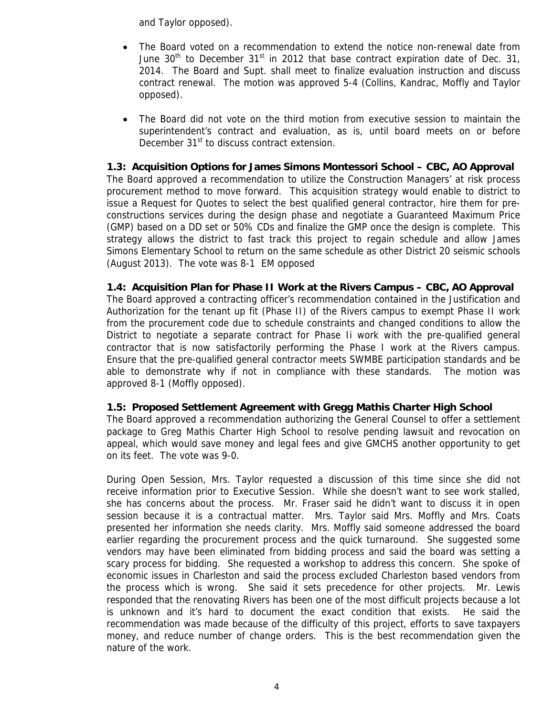and Taylor opposed).

- The Board voted on a recommendation to extend the notice non-renewal date from June 30<sup>th</sup> to December 31<sup>st</sup> in 2012 that base contract expiration date of Dec. 31, 2014. The Board and Supt. shall meet to finalize evaluation instruction and discuss contract renewal. The motion was approved 5-4 (Collins, Kandrac, Moffly and Taylor opposed).
- The Board did not vote on the third motion from executive session to maintain the superintendent's contract and evaluation, as is, until board meets on or before December 31<sup>st</sup> to discuss contract extension.

# **1.3: Acquisition Options for James Simons Montessori School – CBC, AO Approval**

The Board approved a recommendation to utilize the Construction Managers' at risk process procurement method to move forward. This acquisition strategy would enable to district to issue a Request for Quotes to select the best qualified general contractor, hire them for preconstructions services during the design phase and negotiate a Guaranteed Maximum Price (GMP) based on a DD set or 50% CDs and finalize the GMP once the design is complete. This strategy allows the district to fast track this project to regain schedule and allow James Simons Elementary School to return on the same schedule as other District 20 seismic schools (August 2013). The vote was 8-1 EM opposed

## **1.4: Acquisition Plan for Phase II Work at the Rivers Campus – CBC, AO Approval**

The Board approved a contracting officer's recommendation contained in the Justification and Authorization for the tenant up fit (Phase II) of the Rivers campus to exempt Phase II work from the procurement code due to schedule constraints and changed conditions to allow the District to negotiate a separate contract for Phase Ii work with the pre-qualified general contractor that is now satisfactorily performing the Phase I work at the Rivers campus. Ensure that the pre-qualified general contractor meets SWMBE participation standards and be able to demonstrate why if not in compliance with these standards. The motion was approved 8-1 (Moffly opposed).

## **1.5: Proposed Settlement Agreement with Gregg Mathis Charter High School**

The Board approved a recommendation authorizing the General Counsel to offer a settlement package to Greg Mathis Charter High School to resolve pending lawsuit and revocation on appeal, which would save money and legal fees and give GMCHS another opportunity to get on its feet. The vote was 9-0.

During Open Session, Mrs. Taylor requested a discussion of this time since she did not receive information prior to Executive Session. While she doesn't want to see work stalled, she has concerns about the process. Mr. Fraser said he didn't want to discuss it in open session because it is a contractual matter. Mrs. Taylor said Mrs. Moffly and Mrs. Coats presented her information she needs clarity. Mrs. Moffly said someone addressed the board earlier regarding the procurement process and the quick turnaround. She suggested some vendors may have been eliminated from bidding process and said the board was setting a scary process for bidding. She requested a workshop to address this concern. She spoke of economic issues in Charleston and said the process excluded Charleston based vendors from the process which is wrong. She said it sets precedence for other projects. Mr. Lewis responded that the renovating Rivers has been one of the most difficult projects because a lot is unknown and it's hard to document the exact condition that exists. He said the recommendation was made because of the difficulty of this project, efforts to save taxpayers money, and reduce number of change orders. This is the best recommendation given the nature of the work.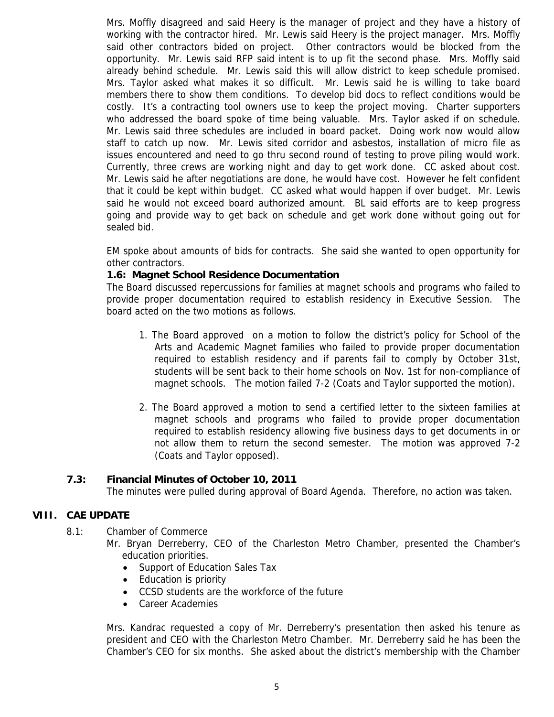Mrs. Moffly disagreed and said Heery is the manager of project and they have a history of working with the contractor hired. Mr. Lewis said Heery is the project manager. Mrs. Moffly said other contractors bided on project. Other contractors would be blocked from the opportunity. Mr. Lewis said RFP said intent is to up fit the second phase. Mrs. Moffly said already behind schedule. Mr. Lewis said this will allow district to keep schedule promised. Mrs. Taylor asked what makes it so difficult. Mr. Lewis said he is willing to take board members there to show them conditions. To develop bid docs to reflect conditions would be costly. It's a contracting tool owners use to keep the project moving. Charter supporters who addressed the board spoke of time being valuable. Mrs. Taylor asked if on schedule. Mr. Lewis said three schedules are included in board packet. Doing work now would allow staff to catch up now. Mr. Lewis sited corridor and asbestos, installation of micro file as issues encountered and need to go thru second round of testing to prove piling would work. Currently, three crews are working night and day to get work done. CC asked about cost. Mr. Lewis said he after negotiations are done, he would have cost. However he felt confident that it could be kept within budget. CC asked what would happen if over budget. Mr. Lewis said he would not exceed board authorized amount. BL said efforts are to keep progress going and provide way to get back on schedule and get work done without going out for sealed bid.

EM spoke about amounts of bids for contracts. She said she wanted to open opportunity for other contractors.

# **1.6: Magnet School Residence Documentation**

The Board discussed repercussions for families at magnet schools and programs who failed to provide proper documentation required to establish residency in Executive Session. The board acted on the two motions as follows.

- 1. The Board approved on a motion to follow the district's policy for School of the Arts and Academic Magnet families who failed to provide proper documentation required to establish residency and if parents fail to comply by October 31st, students will be sent back to their home schools on Nov. 1st for non-compliance of magnet schools. The motion failed 7-2 (Coats and Taylor supported the motion).
- 2. The Board approved a motion to send a certified letter to the sixteen families at magnet schools and programs who failed to provide proper documentation required to establish residency allowing five business days to get documents in or not allow them to return the second semester. The motion was approved 7-2 (Coats and Taylor opposed).

## **7.3: Financial Minutes of October 10, 2011**

The minutes were pulled during approval of Board Agenda. Therefore, no action was taken.

## **VIII. CAE UPDATE**

8.1: Chamber of Commerce

Mr. Bryan Derreberry, CEO of the Charleston Metro Chamber, presented the Chamber's education priorities.

- Support of Education Sales Tax
- Education is priority
- CCSD students are the workforce of the future
- Career Academies

Mrs. Kandrac requested a copy of Mr. Derreberry's presentation then asked his tenure as president and CEO with the Charleston Metro Chamber. Mr. Derreberry said he has been the Chamber's CEO for six months. She asked about the district's membership with the Chamber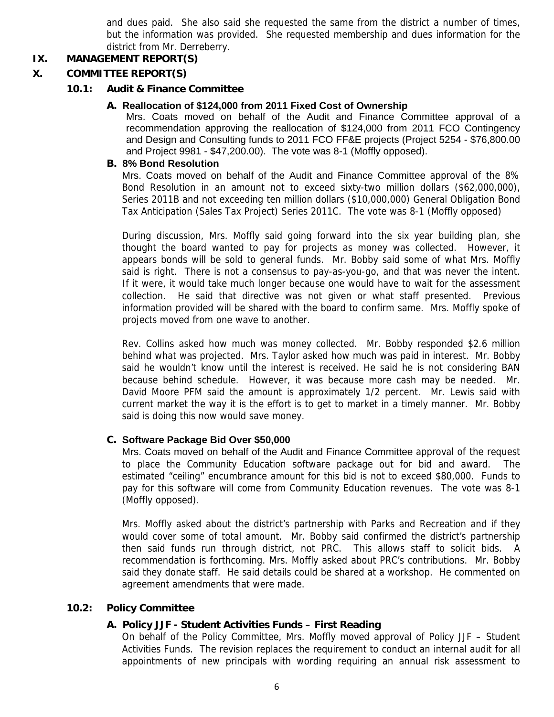and dues paid. She also said she requested the same from the district a number of times, but the information was provided. She requested membership and dues information for the district from Mr. Derreberry.

# **IX. MANAGEMENT REPORT(S)**

# **X. COMMITTEE REPORT(S)**

#### **10.1: Audit & Finance Committee**

#### **A. Reallocation of \$124,000 from 2011 Fixed Cost of Ownership**

Mrs. Coats moved on behalf of the Audit and Finance Committee approval of a recommendation approving the reallocation of \$124,000 from 2011 FCO Contingency and Design and Consulting funds to 2011 FCO FF&E projects (Project 5254 - \$76,800.00 and Project 9981 - \$47,200.00). The vote was 8-1 (Moffly opposed).

#### **B. 8% Bond Resolution**

Mrs. Coats moved on behalf of the Audit and Finance Committee approval of the 8% Bond Resolution in an amount not to exceed sixty-two million dollars (\$62,000,000), Series 2011B and not exceeding ten million dollars (\$10,000,000) General Obligation Bond Tax Anticipation (Sales Tax Project) Series 2011C. The vote was 8-1 (Moffly opposed)

During discussion, Mrs. Moffly said going forward into the six year building plan, she thought the board wanted to pay for projects as money was collected. However, it appears bonds will be sold to general funds. Mr. Bobby said some of what Mrs. Moffly said is right. There is not a consensus to pay-as-you-go, and that was never the intent. If it were, it would take much longer because one would have to wait for the assessment collection. He said that directive was not given or what staff presented. Previous information provided will be shared with the board to confirm same. Mrs. Moffly spoke of projects moved from one wave to another.

Rev. Collins asked how much was money collected. Mr. Bobby responded \$2.6 million behind what was projected. Mrs. Taylor asked how much was paid in interest. Mr. Bobby said he wouldn't know until the interest is received. He said he is not considering BAN because behind schedule. However, it was because more cash may be needed. Mr. David Moore PFM said the amount is approximately 1/2 percent. Mr. Lewis said with current market the way it is the effort is to get to market in a timely manner. Mr. Bobby said is doing this now would save money.

## **C. Software Package Bid Over \$50,000**

Mrs. Coats moved on behalf of the Audit and Finance Committee approval of the request to place the Community Education software package out for bid and award. The estimated "ceiling" encumbrance amount for this bid is not to exceed \$80,000. Funds to pay for this software will come from Community Education revenues. The vote was 8-1 (Moffly opposed).

Mrs. Moffly asked about the district's partnership with Parks and Recreation and if they would cover some of total amount. Mr. Bobby said confirmed the district's partnership then said funds run through district, not PRC. This allows staff to solicit bids. A recommendation is forthcoming. Mrs. Moffly asked about PRC's contributions. Mr. Bobby said they donate staff. He said details could be shared at a workshop. He commented on agreement amendments that were made.

## **10.2: Policy Committee**

## **A. Policy JJF - Student Activities Funds – First Reading**

On behalf of the Policy Committee, Mrs. Moffly moved approval of Policy JJF – Student Activities Funds. The revision replaces the requirement to conduct an internal audit for all appointments of new principals with wording requiring an annual risk assessment to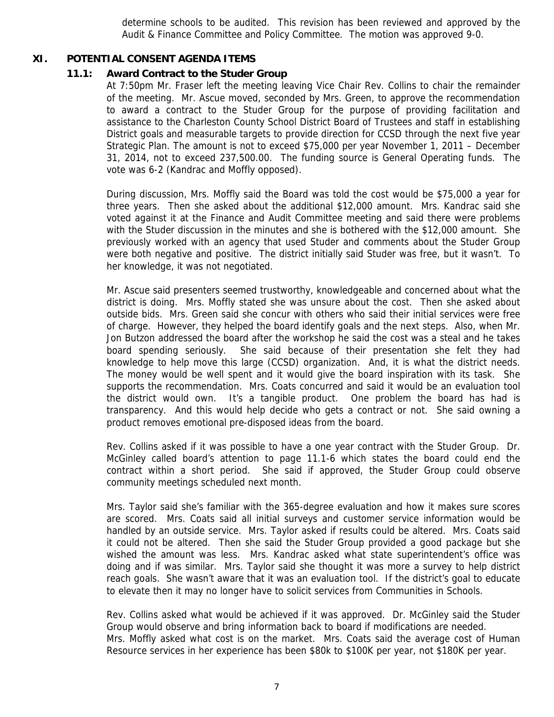determine schools to be audited. This revision has been reviewed and approved by the Audit & Finance Committee and Policy Committee. The motion was approved 9-0.

#### **XI. POTENTIAL CONSENT AGENDA ITEMS**

#### **11.1: Award Contract to the Studer Group**

At 7:50pm Mr. Fraser left the meeting leaving Vice Chair Rev. Collins to chair the remainder of the meeting. Mr. Ascue moved, seconded by Mrs. Green, to approve the recommendation to award a contract to the Studer Group for the purpose of providing facilitation and assistance to the Charleston County School District Board of Trustees and staff in establishing District goals and measurable targets to provide direction for CCSD through the next five year Strategic Plan. The amount is not to exceed \$75,000 per year November 1, 2011 – December 31, 2014, not to exceed 237,500.00. The funding source is General Operating funds. The vote was 6-2 (Kandrac and Moffly opposed).

During discussion, Mrs. Moffly said the Board was told the cost would be \$75,000 a year for three years. Then she asked about the additional \$12,000 amount. Mrs. Kandrac said she voted against it at the Finance and Audit Committee meeting and said there were problems with the Studer discussion in the minutes and she is bothered with the \$12,000 amount. She previously worked with an agency that used Studer and comments about the Studer Group were both negative and positive. The district initially said Studer was free, but it wasn't. To her knowledge, it was not negotiated.

Mr. Ascue said presenters seemed trustworthy, knowledgeable and concerned about what the district is doing. Mrs. Moffly stated she was unsure about the cost. Then she asked about outside bids. Mrs. Green said she concur with others who said their initial services were free of charge. However, they helped the board identify goals and the next steps. Also, when Mr. Jon Butzon addressed the board after the workshop he said the cost was a steal and he takes board spending seriously. She said because of their presentation she felt they had knowledge to help move this large (CCSD) organization. And, it is what the district needs. The money would be well spent and it would give the board inspiration with its task. She supports the recommendation. Mrs. Coats concurred and said it would be an evaluation tool the district would own. It's a tangible product. One problem the board has had is transparency. And this would help decide who gets a contract or not. She said owning a product removes emotional pre-disposed ideas from the board.

Rev. Collins asked if it was possible to have a one year contract with the Studer Group. Dr. McGinley called board's attention to page 11.1-6 which states the board could end the contract within a short period. She said if approved, the Studer Group could observe community meetings scheduled next month.

Mrs. Taylor said she's familiar with the 365-degree evaluation and how it makes sure scores are scored. Mrs. Coats said all initial surveys and customer service information would be handled by an outside service. Mrs. Taylor asked if results could be altered. Mrs. Coats said it could not be altered. Then she said the Studer Group provided a good package but she wished the amount was less. Mrs. Kandrac asked what state superintendent's office was doing and if was similar. Mrs. Taylor said she thought it was more a survey to help district reach goals. She wasn't aware that it was an evaluation tool. If the district's goal to educate to elevate then it may no longer have to solicit services from Communities in Schools.

Rev. Collins asked what would be achieved if it was approved. Dr. McGinley said the Studer Group would observe and bring information back to board if modifications are needed. Mrs. Moffly asked what cost is on the market. Mrs. Coats said the average cost of Human Resource services in her experience has been \$80k to \$100K per year, not \$180K per year.